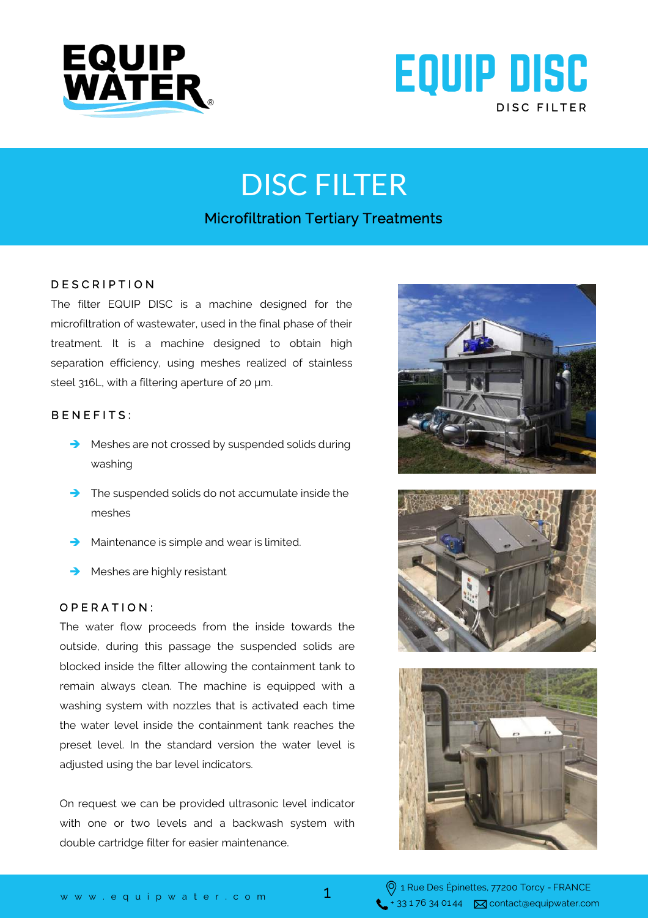



# DISC FILTER

## Microfiltration Tertiary Treatments

### D E S C R I P T I O N

The filter EQUIP DISC is a machine designed for the microfiltration of wastewater, used in the final phase of their treatment. It is a machine designed to obtain high separation efficiency, using meshes realized of stainless steel 316L, with a filtering aperture of 20 μm.

### BENEFITS:

- Meshes are not crossed by suspended solids during washing
- The suspended solids do not accumulate inside the meshes
- Maintenance is simple and wear is limited.
- Meshes are highly resistant

#### O P E R A T I O N :

The water flow proceeds from the inside towards the outside, during this passage the suspended solids are blocked inside the filter allowing the containment tank to remain always clean. The machine is equipped with a washing system with nozzles that is activated each time the water level inside the containment tank reaches the preset level. In the standard version the water level is adjusted using the bar level indicators.

On request we can be provided ultrasonic level indicator with one or two levels and a backwash system with double cartridge filter for easier maintenance.







1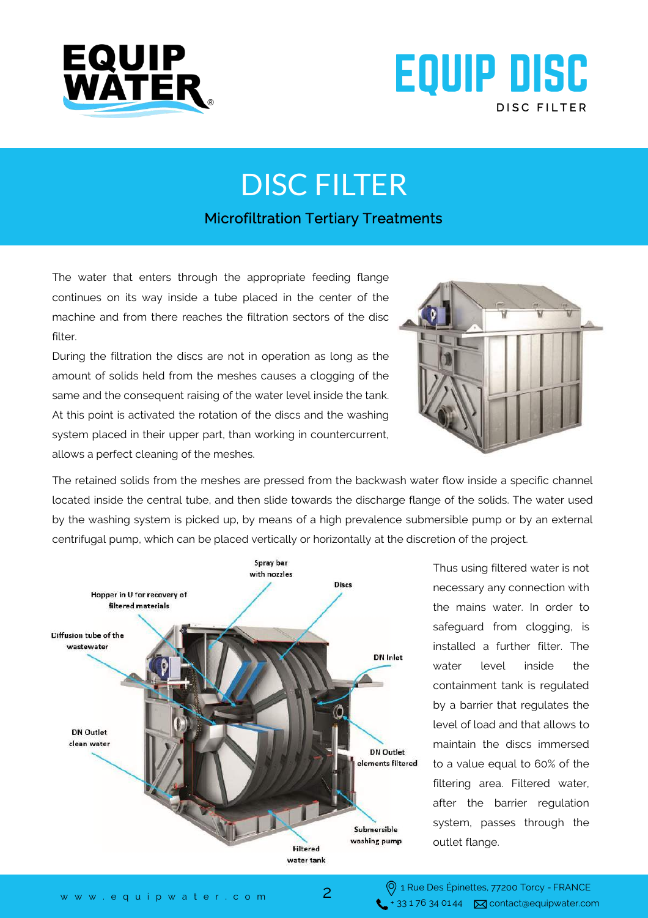



## DISC FILTER

## Microfiltration Tertiary Treatments

The water that enters through the appropriate feeding flange continues on its way inside a tube placed in the center of the machine and from there reaches the filtration sectors of the disc filter.

During the filtration the discs are not in operation as long as the amount of solids held from the meshes causes a clogging of the same and the consequent raising of the water level inside the tank. At this point is activated the rotation of the discs and the washing system placed in their upper part, than working in countercurrent, allows a perfect cleaning of the meshes.



The retained solids from the meshes are pressed from the backwash water flow inside a specific channel located inside the central tube, and then slide towards the discharge flange of the solids. The water used by the washing system is picked up, by means of a high prevalence submersible pump or by an external centrifugal pump, which can be placed vertically or horizontally at the discretion of the project.



Thus using filtered water is not necessary any connection with the mains water. In order to safeguard from clogging, is installed a further filter. The water level inside the containment tank is regulated by a barrier that regulates the level of load and that allows to maintain the discs immersed to a value equal to 60% of the filtering area. Filtered water, after the barrier regulation system, passes through the outlet flange.